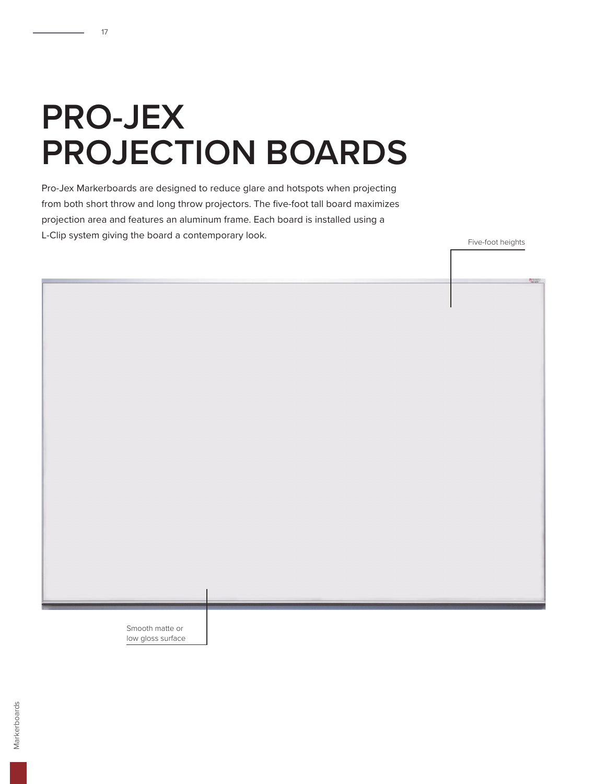## **PRO-JEX PROJECTION BOARDS**

17

Pro-Jex Markerboards are designed to reduce glare and hotspots when projecting from both short throw and long throw projectors. The five-foot tall board maximizes projection area and features an aluminum frame. Each board is installed using a L-Clip system giving the board a contemporary look.

Five-foot heights

Smooth matte or low gloss surface